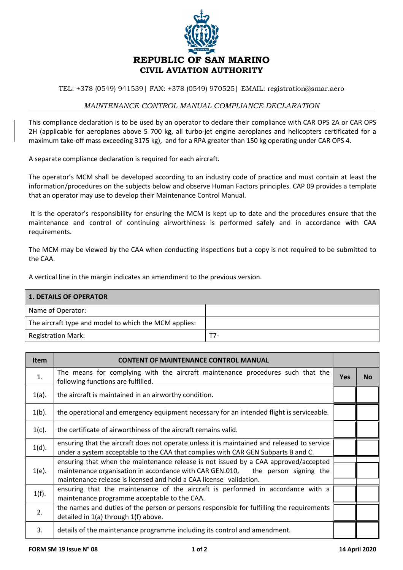

TEL: +378 (0549) 941539| FAX: +378 (0549) 970525| EMAIL: registration@smar.aero

## *MAINTENANCE CONTROL MANUAL COMPLIANCE DECLARATION*

This compliance declaration is to be used by an operator to declare their compliance with CAR OPS 2A or CAR OPS 2H (applicable for aeroplanes above 5 700 kg, all turbo-jet engine aeroplanes and helicopters certificated for a maximum take-off mass exceeding 3175 kg), and for a RPA greater than 150 kg operating under CAR OPS 4.

A separate compliance declaration is required for each aircraft.

The operator's MCM shall be developed according to an industry code of practice and must contain at least the information/procedures on the subjects below and observe Human Factors principles. CAP 09 provides a template that an operator may use to develop their Maintenance Control Manual.

It is the operator's responsibility for ensuring the MCM is kept up to date and the procedures ensure that the maintenance and control of continuing airworthiness is performed safely and in accordance with CAA requirements.

The MCM may be viewed by the CAA when conducting inspections but a copy is not required to be submitted to the CAA.

A vertical line in the margin indicates an amendment to the previous version.

| <b>1. DETAILS OF OPERATOR</b>                         |     |  |  |
|-------------------------------------------------------|-----|--|--|
| Name of Operator:                                     |     |  |  |
| The aircraft type and model to which the MCM applies: |     |  |  |
| <b>Registration Mark:</b>                             | T7- |  |  |

| <b>Item</b> | <b>CONTENT OF MAINTENANCE CONTROL MANUAL</b>                                                                                                                                                                                                 |  |           |
|-------------|----------------------------------------------------------------------------------------------------------------------------------------------------------------------------------------------------------------------------------------------|--|-----------|
| 1.          | The means for complying with the aircraft maintenance procedures such that the<br>following functions are fulfilled.                                                                                                                         |  | <b>No</b> |
| $1(a)$ .    | the aircraft is maintained in an airworthy condition.                                                                                                                                                                                        |  |           |
| $1(b)$ .    | the operational and emergency equipment necessary for an intended flight is serviceable.                                                                                                                                                     |  |           |
| $1(c)$ .    | the certificate of airworthiness of the aircraft remains valid.                                                                                                                                                                              |  |           |
| $1(d)$ .    | ensuring that the aircraft does not operate unless it is maintained and released to service<br>under a system acceptable to the CAA that complies with CAR GEN Subparts B and C.                                                             |  |           |
| $1(e)$ .    | ensuring that when the maintenance release is not issued by a CAA approved/accepted<br>maintenance organisation in accordance with CAR GEN.010, the person signing the<br>maintenance release is licensed and hold a CAA license validation. |  |           |
| $1(f)$ .    | ensuring that the maintenance of the aircraft is performed in accordance with a<br>maintenance programme acceptable to the CAA.                                                                                                              |  |           |
| 2.          | the names and duties of the person or persons responsible for fulfilling the requirements<br>detailed in 1(a) through 1(f) above.                                                                                                            |  |           |
| 3.          | details of the maintenance programme including its control and amendment.                                                                                                                                                                    |  |           |